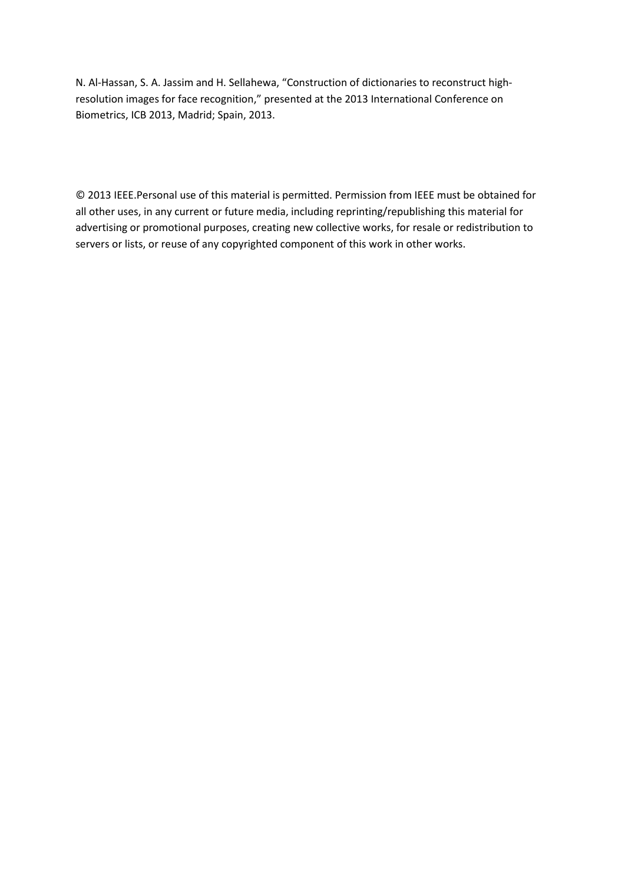N. Al-Hassan, S. A. Jassim and H. Sellahewa, "Construction of dictionaries to reconstruct highresolution images for face recognition," presented at the 2013 International Conference on Biometrics, ICB 2013, Madrid; Spain, 2013.

© 2013 IEEE.Personal use of this material is permitted. Permission from IEEE must be obtained for all other uses, in any current or future media, including reprinting/republishing this material for advertising or promotional purposes, creating new collective works, for resale or redistribution to servers or lists, or reuse of any copyrighted component of this work in other works.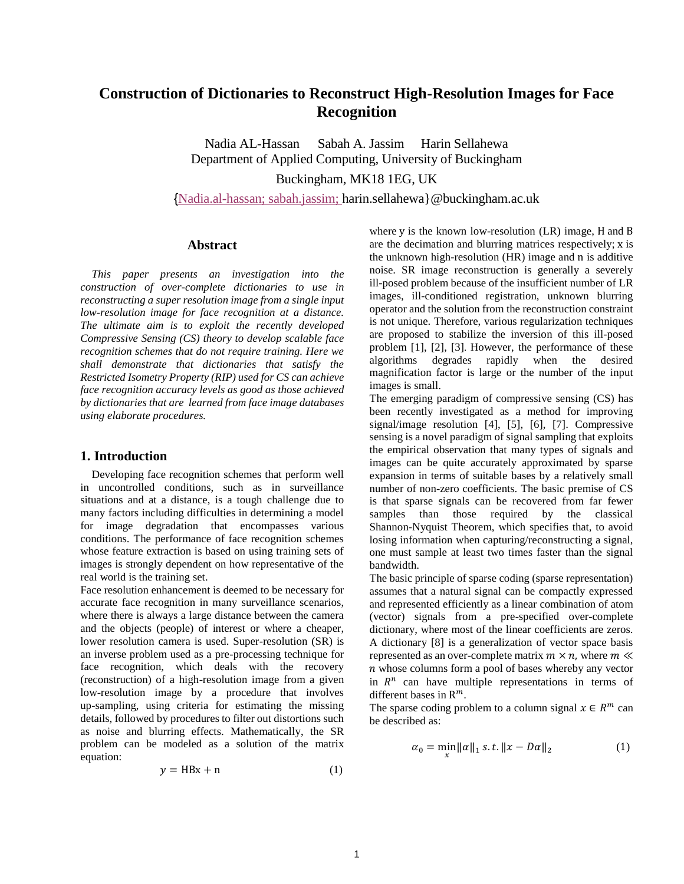# **Construction of Dictionaries to Reconstruct High-Resolution Images for Face Recognition**

Nadia AL-Hassan Sabah A. Jassim Harin Sellahewa Department of Applied Computing, University of Buckingham

Buckingham, MK18 1EG, UK

{[Nadia.al-hassan; sabah.jassim; h](mailto:Nadia.al-hassan;)arin.sellahewa}@buckingham.ac.uk

# **Abstract**

*This paper presents an investigation into the construction of over-complete dictionaries to use in reconstructing a super resolution image from a single input low-resolution image for face recognition at a distance. The ultimate aim is to exploit the recently developed Compressive Sensing (CS) theory to develop scalable face recognition schemes that do not require training. Here we shall demonstrate that dictionaries that satisfy the Restricted Isometry Property (RIP) used for CS can achieve face recognition accuracy levels as good as those achieved by dictionaries that are learned from face image databases using elaborate procedures.*

# **1. Introduction**

Developing face recognition schemes that perform well in uncontrolled conditions, such as in surveillance situations and at a distance, is a tough challenge due to many factors including difficulties in determining a model for image degradation that encompasses various conditions. The performance of face recognition schemes whose feature extraction is based on using training sets of images is strongly dependent on how representative of the real world is the training set.

Face resolution enhancement is deemed to be necessary for accurate face recognition in many surveillance scenarios, where there is always a large distance between the camera and the objects (people) of interest or where a cheaper, lower resolution camera is used. Super-resolution (SR) is an inverse problem used as a pre-processing technique for face recognition, which deals with the recovery (reconstruction) of a high-resolution image from a given low-resolution image by a procedure that involves up-sampling, using criteria for estimating the missing details, followed by procedures to filter out distortions such as noise and blurring effects. Mathematically, the SR problem can be modeled as a solution of the matrix equation:

$$
y = HBx + n \tag{1}
$$

where y is the known low-resolution (LR) image, H and B are the decimation and blurring matrices respectively; x is the unknown high-resolution (HR) image and n is additive noise. SR image reconstruction is generally a severely ill-posed problem because of the insufficient number of LR images, ill-conditioned registration, unknown blurring operator and the solution from the reconstruction constraint is not unique. Therefore, various regularization techniques are proposed to stabilize the inversion of this ill-posed problem [1], [2], [3]. However, the performance of these algorithms degrades rapidly when the desired magnification factor is large or the number of the input images is small.

The emerging paradigm of compressive sensing (CS) has been recently investigated as a method for improving signal/image resolution [4], [5], [6], [7]. Compressive sensing is a novel paradigm of signal sampling that exploits the empirical observation that many types of signals and images can be quite accurately approximated by sparse expansion in terms of suitable bases by a relatively small number of non-zero coefficients. The basic premise of CS is that sparse signals can be recovered from far fewer samples than those required by the classical Shannon-Nyquist Theorem, which specifies that, to avoid losing information when capturing/reconstructing a signal, one must sample at least two times faster than the signal bandwidth.

The basic principle of sparse coding (sparse representation) assumes that a natural signal can be compactly expressed and represented efficiently as a linear combination of atom (vector) signals from a pre-specified over-complete dictionary, where most of the linear coefficients are zeros. A dictionary [8] is a generalization of vector space basis represented as an over-complete matrix  $m \times n$ , where  $m \ll 1$  $n$  whose columns form a pool of bases whereby any vector in  $R<sup>n</sup>$  can have multiple representations in terms of different bases in  $\mathbb{R}^m$ .

The sparse coding problem to a column signal  $x \in R^m$  can be described as:

$$
\alpha_0 = \min_{x} ||\alpha||_1 \text{ s.t. } ||x - D\alpha||_2 \tag{1}
$$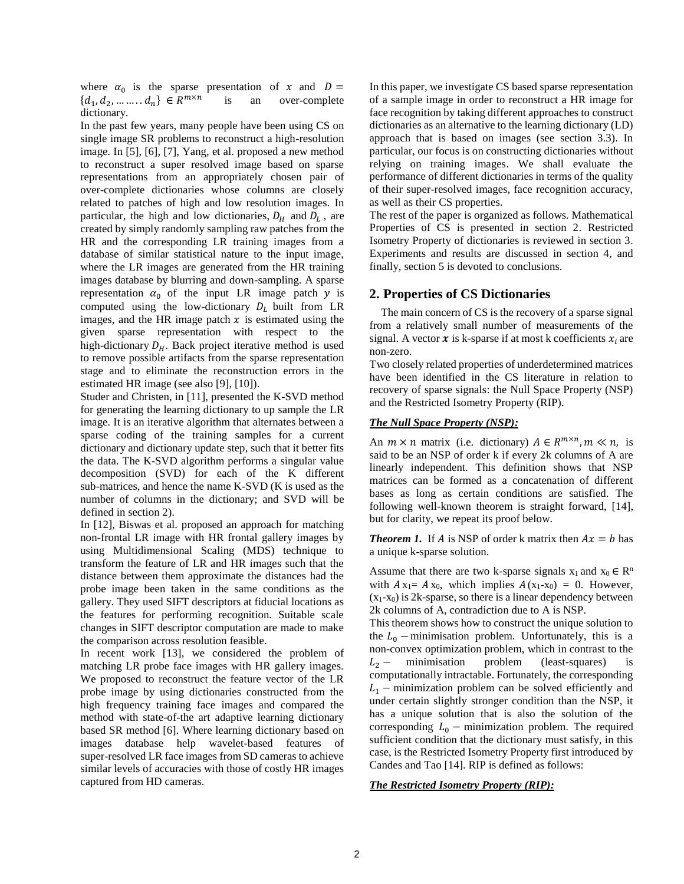where  $\alpha_0$  is the sparse presentation of x and  $D =$  $\{d_1, d_2, \dots \dots d_n\} \in R^{m \times n}$ is an over-complete dictionary.

In the past few years, many people have been using CS on single image SR problems to reconstruct a high-resolution image. In [5], [6], [7], Yang, et al. proposed a new method to reconstruct a super resolved image based on sparse representations from an appropriately chosen pair of over-complete dictionaries whose columns are closely related to patches of high and low resolution images. In particular, the high and low dictionaries,  $D_H$  and  $D_L$ , are created by simply randomly sampling raw patches from the HR and the corresponding LR training images from a database of similar statistical nature to the input image, where the LR images are generated from the HR training images database by blurring and down-sampling. A sparse representation  $\alpha_0$  of the input LR image patch y is computed using the low-dictionary  $D_L$  built from LR images, and the HR image patch  $x$  is estimated using the given sparse representation with respect to the high-dictionary  $D_H$ . Back project iterative method is used to remove possible artifacts from the sparse representation stage and to eliminate the reconstruction errors in the estimated HR image (see also [9], [10]).

Studer and Christen, in [11], presented the K-SVD method for generating the learning dictionary to up sample the LR image. It is an iterative algorithm that alternates between a sparse coding of the training samples for a current dictionary and dictionary update step, such that it better fits the data. The K-SVD algorithm performs a singular value decomposition (SVD) for each of the K different sub-matrices, and hence the name K-SVD (K is used as the number of columns in the dictionary; and SVD will be defined in section 2).

In [12], Biswas et al. proposed an approach for matching non-frontal LR image with HR frontal gallery images by using Multidimensional Scaling (MDS) technique to transform the feature of LR and HR images such that the distance between them approximate the distances had the probe image been taken in the same conditions as the gallery. They used SIFT descriptors at fiducial locations as the features for performing recognition. Suitable scale changes in SIFT descriptor computation are made to make the comparison across resolution feasible.

In recent work [13], we considered the problem of matching LR probe face images with HR gallery images. We proposed to reconstruct the feature vector of the LR probe image by using dictionaries constructed from the high frequency training face images and compared the method with state-of-the art adaptive learning dictionary based SR method [6]. Where learning dictionary based on images database help wavelet-based features of super-resolved LR face images from SD cameras to achieve similar levels of accuracies with those of costly HR images captured from HD cameras.

In this paper, we investigate CS based sparse representation of a sample image in order to reconstruct a HR image for face recognition by taking different approaches to construct dictionaries as an alternative to the learning dictionary (LD) approach that is based on images (see section 3.3). In particular, our focus is on constructing dictionaries without relying on training images. We shall evaluate the performance of different dictionaries in terms of the quality of their super-resolved images, face recognition accuracy, as well as their CS properties.

The rest of the paper is organized as follows. Mathematical Properties of CS is presented in section 2. Restricted Isometry Property of dictionaries is reviewed in section 3. Experiments and results are discussed in section 4, and finally, section 5 is devoted to conclusions.

# **2. Properties of CS Dictionaries**

The main concern of CS is the recovery of a sparse signal from a relatively small number of measurements of the signal. A vector  $x$  is k-sparse if at most k coefficients  $x_i$  are non-zero.

Two closely related properties of underdetermined matrices have been identified in the CS literature in relation to recovery of sparse signals: the Null Space Property (NSP) and the Restricted Isometry Property (RIP).

### *The Null Space Property (NSP):*

An  $m \times n$  matrix (i.e. dictionary)  $A \in R^{m \times n}$ ,  $m \ll n$ , is said to be an NSP of order k if every 2k columns of A are linearly independent. This definition shows that NSP matrices can be formed as a concatenation of different bases as long as certain conditions are satisfied. The following well-known theorem is straight forward, [14], but for clarity, we repeat its proof below.

**Theorem 1.** If A is NSP of order k matrix then  $Ax = b$  has a unique k-sparse solution.

Assume that there are two k-sparse signals  $x_1$  and  $x_0 \in \mathbb{R}^n$ with  $Ax_1 = Ax_0$ , which implies  $A(x_1-x_0) = 0$ . However,  $(x_1-x_0)$  is 2k-sparse, so there is a linear dependency between 2k columns of A, contradiction due to A is NSP.

This theorem shows how to construct the unique solution to the  $L_0$  – minimisation problem. Unfortunately, this is a non-convex optimization problem, which in contrast to the  $L_2$  – minimisation problem (least-squares) is computationally intractable. Fortunately, the corresponding  $L_1$  – minimization problem can be solved efficiently and under certain slightly stronger condition than the NSP, it has a unique solution that is also the solution of the corresponding  $L_0$  – minimization problem. The required sufficient condition that the dictionary must satisfy, in this case, is the Restricted Isometry Property first introduced by Candes and Tao [14]. RIP is defined as follows:

### *The Restricted Isometry Property (RIP):*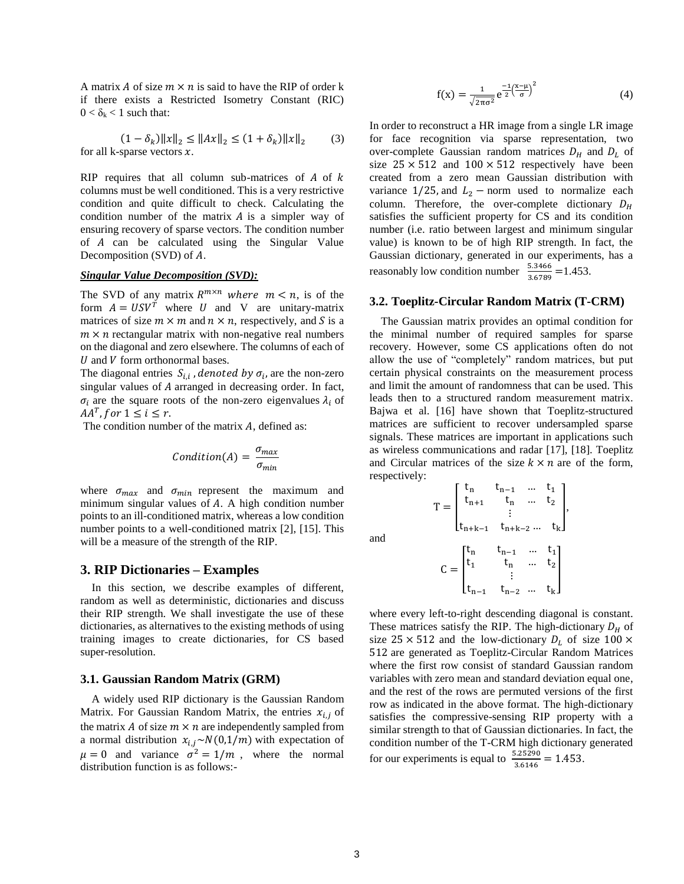A matrix A of size  $m \times n$  is said to have the RIP of order k if there exists a Restricted Isometry Constant (RIC)  $0 < \delta_k < 1$  such that:

$$
(1 - \delta_k) \|x\|_2 \le \|Ax\|_2 \le (1 + \delta_k) \|x\|_2 \tag{3}
$$
  
for all k-sparse vectors x.

RIP requires that all column sub-matrices of  $A$  of  $k$ columns must be well conditioned. This is a very restrictive condition and quite difficult to check. Calculating the condition number of the matrix  $A$  is a simpler way of ensuring recovery of sparse vectors. The condition number of  $A$  can be calculated using the Singular Value Decomposition (SVD) of A.

# *Singular Value Decomposition (SVD):*

The SVD of any matrix  $R^{m \times n}$  where  $m < n$ , is of the form  $A = USV<sup>T</sup>$  where U and V are unitary-matrix matrices of size  $m \times m$  and  $n \times n$ , respectively, and S is a  $m \times n$  rectangular matrix with non-negative real numbers on the diagonal and zero elsewhere. The columns of each of  $U$  and  $V$  form orthonormal bases.

The diagonal entries  $S_{i,i}$ , denoted by  $\sigma_i$ , are the non-zero singular values of  $A$  arranged in decreasing order. In fact,  $\sigma_i$  are the square roots of the non-zero eigenvalues  $\lambda_i$  of  $AA<sup>T</sup>$ , for  $1 \leq i \leq r$ .

The condition number of the matrix  $A$ , defined as:

$$
Condition(A) = \frac{\sigma_{max}}{\sigma_{min}}
$$

where  $\sigma_{max}$  and  $\sigma_{min}$  represent the maximum and minimum singular values of  $A$ . A high condition number points to an ill-conditioned matrix, whereas a low condition number points to a well-conditioned matrix [2], [15]. This will be a measure of the strength of the RIP.

### **3. RIP Dictionaries – Examples**

In this section, we describe examples of different, random as well as deterministic, dictionaries and discuss their RIP strength. We shall investigate the use of these dictionaries, as alternatives to the existing methods of using training images to create dictionaries, for CS based super-resolution.

#### **3.1. Gaussian Random Matrix (GRM)**

A widely used RIP dictionary is the Gaussian Random Matrix. For Gaussian Random Matrix, the entries  $x_{i,j}$  of the matrix A of size  $m \times n$  are independently sampled from a normal distribution  $x_{i,j} \sim N(0,1/m)$  with expectation of  $\mu = 0$  and variance  $\sigma^2 = 1/m$ , where the normal distribution function is as follows:-

$$
f(x) = \frac{1}{\sqrt{2\pi\sigma^2}} e^{\frac{-1}{2} \left(\frac{x-\mu}{\sigma}\right)^2}
$$
(4)

In order to reconstruct a HR image from a single LR image for face recognition via sparse representation, two over-complete Gaussian random matrices  $D_H$  and  $D_L$  of size  $25 \times 512$  and  $100 \times 512$  respectively have been created from a zero mean Gaussian distribution with variance 1/25, and  $L_2$  – norm used to normalize each column. Therefore, the over-complete dictionary  $D_H$ satisfies the sufficient property for CS and its condition number (i.e. ratio between largest and minimum singular value) is known to be of high RIP strength. In fact, the Gaussian dictionary, generated in our experiments, has a reasonably low condition number  $\frac{5.3466}{3.6789} = 1.453$ .

# **3.2. Toeplitz-Circular Random Matrix (T-CRM)**

The Gaussian matrix provides an optimal condition for the minimal number of required samples for sparse recovery. However, some CS applications often do not allow the use of "completely" random matrices, but put certain physical constraints on the measurement process and limit the amount of randomness that can be used. This leads then to a structured random measurement matrix. Bajwa et al. [16] have shown that Toeplitz-structured matrices are sufficient to recover undersampled sparse signals. These matrices are important in applications such as wireless communications and radar [17], [18]. Toeplitz and Circular matrices of the size  $k \times n$  are of the form, respectively:

and

$$
t_{n+k-1} \t t_{n+k-2} \t ... \t t_k
$$

$$
C = \begin{bmatrix} t_n & t_{n-1} & \dots & t_1 \\ t_1 & t_n & \dots & t_2 \\ \vdots & \vdots & \ddots & \vdots \\ t_{n-1} & t_{n-2} & \dots & t_k \end{bmatrix}
$$

 $t_n$   $t_{n-1}$  …  $t_1$  $t_{n+1}$   $t_n$  ...  $t_2$ ⋮

],

 $T = |$ 

where every left-to-right descending diagonal is constant. These matrices satisfy the RIP. The high-dictionary  $D_H$  of size  $25 \times 512$  and the low-dictionary  $D_L$  of size  $100 \times$ 512 are generated as Toeplitz-Circular Random Matrices where the first row consist of standard Gaussian random variables with zero mean and standard deviation equal one, and the rest of the rows are permuted versions of the first row as indicated in the above format. The high-dictionary satisfies the compressive-sensing RIP property with a similar strength to that of Gaussian dictionaries. In fact, the condition number of the T-CRM high dictionary generated for our experiments is equal to  $\frac{5.25290}{3.6146} = 1.453$ .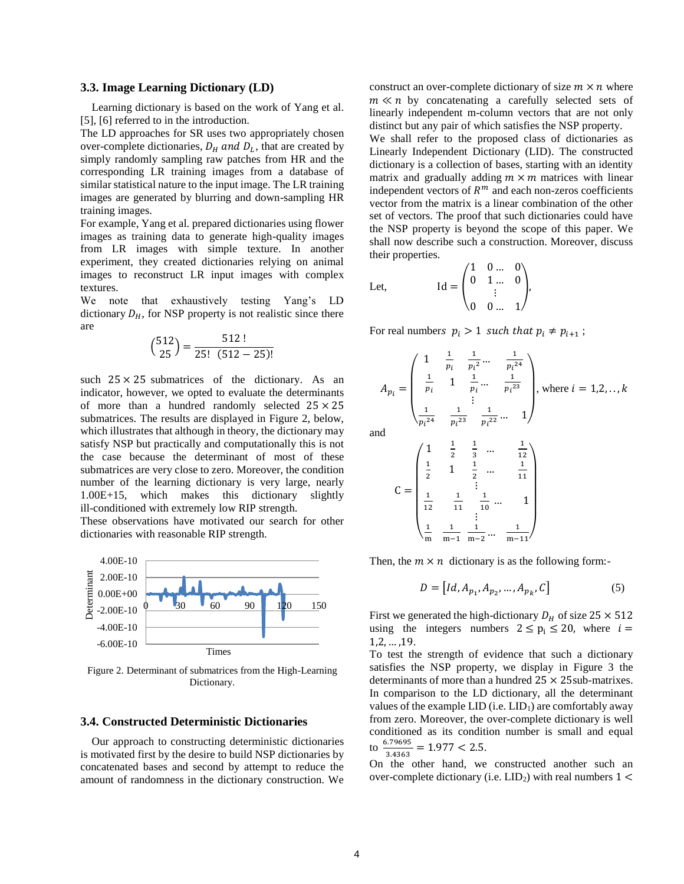#### **3.3. Image Learning Dictionary (LD)**

Learning dictionary is based on the work of Yang et al. [5], [6] referred to in the introduction.

The LD approaches for SR uses two appropriately chosen over-complete dictionaries,  $D_H$  and  $D_L$ , that are created by simply randomly sampling raw patches from HR and the corresponding LR training images from a database of similar statistical nature to the input image. The LR training images are generated by blurring and down-sampling HR training images.

For example, Yang et al. prepared dictionaries using flower images as training data to generate high-quality images from LR images with simple texture. In another experiment, they created dictionaries relying on animal images to reconstruct LR input images with complex textures.

We note that exhaustively testing Yang's LD dictionary  $D_H$ , for NSP property is not realistic since there are

$$
\binom{512}{25} = \frac{512!}{25! \cdot (512-25)!}
$$

such  $25 \times 25$  submatrices of the dictionary. As an indicator, however, we opted to evaluate the determinants of more than a hundred randomly selected  $25 \times 25$ submatrices. The results are displayed in Figure 2, below, which illustrates that although in theory, the dictionary may satisfy NSP but practically and computationally this is not the case because the determinant of most of these submatrices are very close to zero. Moreover, the condition number of the learning dictionary is very large, nearly 1.00E+15, which makes this dictionary slightly ill-conditioned with extremely low RIP strength.

These observations have motivated our search for other dictionaries with reasonable RIP strength.



Figure 2. Determinant of submatrices from the High-Learning Dictionary.

#### **3.4. Constructed Deterministic Dictionaries**

Our approach to constructing deterministic dictionaries is motivated first by the desire to build NSP dictionaries by concatenated bases and second by attempt to reduce the amount of randomness in the dictionary construction. We

construct an over-complete dictionary of size  $m \times n$  where  $m \ll n$  by concatenating a carefully selected sets of linearly independent m-column vectors that are not only distinct but any pair of which satisfies the NSP property.

We shall refer to the proposed class of dictionaries as Linearly Independent Dictionary (LID). The constructed dictionary is a collection of bases, starting with an identity matrix and gradually adding  $m \times m$  matrices with linear independent vectors of  $R^m$  and each non-zeros coefficients vector from the matrix is a linear combination of the other set of vectors. The proof that such dictionaries could have the NSP property is beyond the scope of this paper. We shall now describe such a construction. Moreover, discuss their properties.

Let, 
$$
Id = \begin{pmatrix} 1 & 0 & \dots & 0 \\ 0 & 1 & \dots & 0 \\ \vdots & & & \\ 0 & 0 & \dots & 1 \end{pmatrix},
$$

For real numbers  $p_i > 1$  such that  $p_i \neq p_{i+1}$ ;

$$
A_{p_i} = \begin{pmatrix} 1 & \frac{1}{p_i} & \frac{1}{p_i^2} \cdots & \frac{1}{p_i^{24}} \\ \frac{1}{p_i} & 1 & \frac{1}{p_i} \cdots & \frac{1}{p_i^{23}} \\ \vdots & \vdots & \vdots \\ \frac{1}{p_i^{24}} & \frac{1}{p_i^{23}} & \frac{1}{p_i^{22}} \cdots & 1 \end{pmatrix}, \text{ where } i = 1, 2, \ldots, k
$$

and

$$
C = \begin{pmatrix} 1 & \frac{1}{2} & \frac{1}{3} & \cdots & \frac{1}{12} \\ \frac{1}{2} & 1 & \frac{1}{2} & \cdots & \frac{1}{11} \\ \frac{1}{12} & \frac{1}{11} & \frac{1}{10} & \cdots & 1 \\ \vdots & \vdots & \ddots & \vdots \\ \frac{1}{m} & \frac{1}{m-1} & \frac{1}{m-2} & \cdots & \frac{1}{m-11} \end{pmatrix}
$$

Then, the  $m \times n$  dictionary is as the following form:-

$$
D = [Id, A_{p_1}, A_{p_2}, ..., A_{p_k}, C]
$$
 (5)

First we generated the high-dictionary  $D_H$  of size 25  $\times$  512 using the integers numbers  $2 \le p_i \le 20$ , where  $i =$ 1,2, … ,19.

To test the strength of evidence that such a dictionary satisfies the NSP property, we display in Figure 3 the determinants of more than a hundred 25 × 25sub-matrixes. In comparison to the LD dictionary, all the determinant values of the example  $LID$  (i.e.  $LID<sub>1</sub>$ ) are comfortably away from zero. Moreover, the over-complete dictionary is well conditioned as its condition number is small and equal to  $\frac{6.79695}{2.1352}$  $\frac{3.75655}{3.4363} = 1.977 < 2.5.$ 

On the other hand, we constructed another such an over-complete dictionary (i.e.  $LID_2$ ) with real numbers 1 <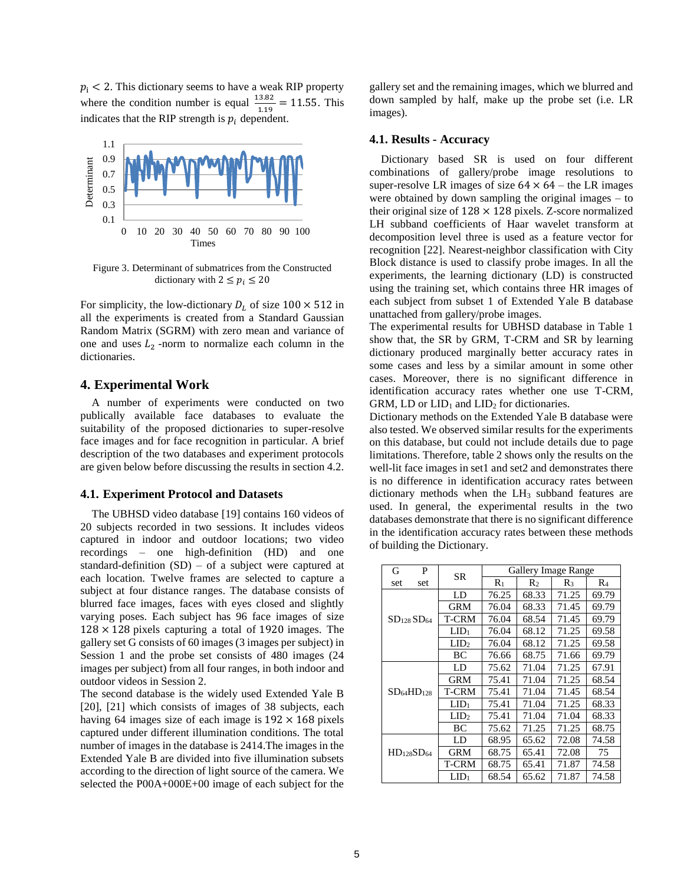$p_i$  < 2. This dictionary seems to have a weak RIP property where the condition number is equal  $\frac{13.82}{1.19} = 11.55$ . This indicates that the RIP strength is  $p_i$  dependent.



Figure 3. Determinant of submatrices from the Constructed dictionary with  $2 \le p_i \le 20$ 

For simplicity, the low-dictionary  $D_L$  of size 100  $\times$  512 in all the experiments is created from a Standard Gaussian Random Matrix (SGRM) with zero mean and variance of one and uses  $L_2$ -norm to normalize each column in the dictionaries.

# **4. Experimental Work**

A number of experiments were conducted on two publically available face databases to evaluate the suitability of the proposed dictionaries to super-resolve face images and for face recognition in particular. A brief description of the two databases and experiment protocols are given below before discussing the results in section 4.2.

#### **4.1. Experiment Protocol and Datasets**

The UBHSD video database [19] contains 160 videos of 20 subjects recorded in two sessions. It includes videos captured in indoor and outdoor locations; two video recordings – one high-definition (HD) and one standard-definition (SD) – of a subject were captured at each location. Twelve frames are selected to capture a subject at four distance ranges. The database consists of blurred face images, faces with eyes closed and slightly varying poses. Each subject has 96 face images of size  $128 \times 128$  pixels capturing a total of 1920 images. The gallery set G consists of 60 images (3 images per subject) in Session 1 and the probe set consists of 480 images (24 images per subject) from all four ranges, in both indoor and outdoor videos in Session 2.

The second database is the widely used Extended Yale B [20], [21] which consists of images of 38 subjects, each having 64 images size of each image is  $192 \times 168$  pixels captured under different illumination conditions. The total number of images in the database is 2414.The images in the Extended Yale B are divided into five illumination subsets according to the direction of light source of the camera. We selected the P00A+000E+00 image of each subject for the

gallery set and the remaining images, which we blurred and down sampled by half, make up the probe set (i.e. LR images).

#### **4.1. Results - Accuracy**

Dictionary based SR is used on four different combinations of gallery/probe image resolutions to super-resolve LR images of size  $64 \times 64$  – the LR images were obtained by down sampling the original images – to their original size of  $128 \times 128$  pixels. Z-score normalized LH subband coefficients of Haar wavelet transform at decomposition level three is used as a feature vector for recognition [22]. Nearest-neighbor classification with City Block distance is used to classify probe images. In all the experiments, the learning dictionary (LD) is constructed using the training set, which contains three HR images of each subject from subset 1 of Extended Yale B database unattached from gallery/probe images.

The experimental results for UBHSD database in Table 1 show that, the SR by GRM, T-CRM and SR by learning dictionary produced marginally better accuracy rates in some cases and less by a similar amount in some other cases. Moreover, there is no significant difference in identification accuracy rates whether one use T-CRM, GRM,  $LD$  or  $LID_1$  and  $LID_2$  for dictionaries.

Dictionary methods on the Extended Yale B database were also tested. We observed similar results for the experiments on this database, but could not include details due to page limitations. Therefore, table 2 shows only the results on the well-lit face images in set1 and set2 and demonstrates there is no difference in identification accuracy rates between dictionary methods when the  $LH_3$  subband features are used. In general, the experimental results in the two databases demonstrate that there is no significant difference in the identification accuracy rates between these methods of building the Dictionary.

| G<br>P                             | SR               | Gallery Image Range |                |       |       |  |
|------------------------------------|------------------|---------------------|----------------|-------|-------|--|
| set<br>set                         |                  | $R_1$               | R <sub>2</sub> | $R_3$ | R4    |  |
|                                    | LD               | 76.25               | 68.33          | 71.25 | 69.79 |  |
|                                    | GRM              | 76.04               | 68.33          | 71.45 | 69.79 |  |
| SD <sub>128</sub> SD <sub>64</sub> | T-CRM            | 76.04               | 68.54          | 71.45 | 69.79 |  |
|                                    | $LID_1$          | 76.04               | 68.12          | 71.25 | 69.58 |  |
|                                    | LID <sub>2</sub> | 76.04               | 68.12          | 71.25 | 69.58 |  |
|                                    | ВC               | 76.66               | 68.75          | 71.66 | 69.79 |  |
|                                    | LD               | 75.62               | 71.04          | 71.25 | 67.91 |  |
|                                    | GRM              | 75.41               | 71.04          | 71.25 | 68.54 |  |
| SD <sub>64</sub> HD <sub>128</sub> | <b>T-CRM</b>     | 75.41               | 71.04          | 71.45 | 68.54 |  |
|                                    | $LID_1$          | 75.41               | 71.04          | 71.25 | 68.33 |  |
|                                    | LID <sub>2</sub> | 75.41               | 71.04          | 71.04 | 68.33 |  |
|                                    | <b>BC</b>        | 75.62               | 71.25          | 71.25 | 68.75 |  |
|                                    | LD               | 68.95               | 65.62          | 72.08 | 74.58 |  |
| HD <sub>128</sub> SD <sub>64</sub> | GRM              | 68.75               | 65.41          | 72.08 | 75    |  |
|                                    | T-CRM            | 68.75               | 65.41          | 71.87 | 74.58 |  |
|                                    | $LID_1$          | 68.54               | 65.62          | 71.87 | 74.58 |  |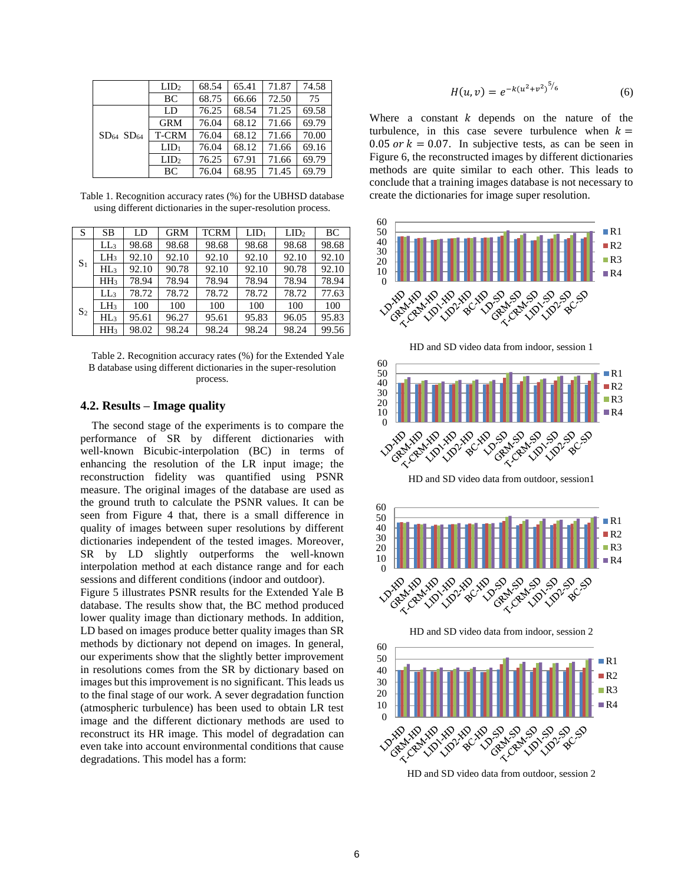|               | LID <sub>2</sub> | 68.54 | 65.41 | 71.87 | 74.58 |
|---------------|------------------|-------|-------|-------|-------|
|               | BC               | 68.75 | 66.66 | 72.50 | 75    |
| $SD64$ $SD64$ | LD               | 76.25 | 68.54 | 71.25 | 69.58 |
|               | <b>GRM</b>       | 76.04 | 68.12 | 71.66 | 69.79 |
|               | T-CRM            | 76.04 | 68.12 | 71.66 | 70.00 |
|               | $LID_1$          | 76.04 | 68.12 | 71.66 | 69.16 |
|               | LID <sub>2</sub> | 76.25 | 67.91 | 71.66 | 69.79 |
|               | BC               | 76.04 | 68.95 | 71.45 | 69.79 |

Table 1. Recognition accuracy rates (%) for the UBHSD database using different dictionaries in the super-resolution process.

| S              | <b>SB</b>       | LD    | <b>GRM</b> | <b>TCRM</b> | $LID_1$ | LID <sub>2</sub> | BC    |
|----------------|-----------------|-------|------------|-------------|---------|------------------|-------|
| S <sub>1</sub> | LL <sub>3</sub> | 98.68 | 98.68      | 98.68       | 98.68   | 98.68            | 98.68 |
|                | LH <sub>3</sub> | 92.10 | 92.10      | 92.10       | 92.10   | 92.10            | 92.10 |
|                | HL <sub>3</sub> | 92.10 | 90.78      | 92.10       | 92.10   | 90.78            | 92.10 |
|                | HH <sub>3</sub> | 78.94 | 78.94      | 78.94       | 78.94   | 78.94            | 78.94 |
| S <sub>2</sub> | LL <sub>3</sub> | 78.72 | 78.72      | 78.72       | 78.72   | 78.72            | 77.63 |
|                | $LH_3$          | 100   | 100        | 100         | 100     | 100              | 100   |
|                | HL <sub>3</sub> | 95.61 | 96.27      | 95.61       | 95.83   | 96.05            | 95.83 |
|                | HH <sub>3</sub> | 98.02 | 98.24      | 98.24       | 98.24   | 98.24            | 99.56 |

Table 2. Recognition accuracy rates (%) for the Extended Yale B database using different dictionaries in the super-resolution process.

#### **4.2. Results – Image quality**

The second stage of the experiments is to compare the performance of SR by different dictionaries with well-known Bicubic-interpolation (BC) in terms of enhancing the resolution of the LR input image; the reconstruction fidelity was quantified using PSNR measure. The original images of the database are used as the ground truth to calculate the PSNR values. It can be seen from Figure 4 that, there is a small difference in quality of images between super resolutions by different dictionaries independent of the tested images. Moreover, SR by LD slightly outperforms the well-known interpolation method at each distance range and for each sessions and different conditions (indoor and outdoor).

Figure 5 illustrates PSNR results for the Extended Yale B database. The results show that, the BC method produced lower quality image than dictionary methods. In addition, LD based on images produce better quality images than SR methods by dictionary not depend on images. In general, our experiments show that the slightly better improvement in resolutions comes from the SR by dictionary based on images but this improvement is no significant. This leads us to the final stage of our work. A sever degradation function (atmospheric turbulence) has been used to obtain LR test image and the different dictionary methods are used to reconstruct its HR image. This model of degradation can even take into account environmental conditions that cause degradations. This model has a form:

$$
H(u,v) = e^{-k(u^2+v^2)^{5/6}}
$$
 (6)

Where a constant  $k$  depends on the nature of the turbulence, in this case severe turbulence when  $k =$ 0.05 or  $k = 0.07$ . In subjective tests, as can be seen in Figure 6, the reconstructed images by different dictionaries methods are quite similar to each other. This leads to conclude that a training images database is not necessary to create the dictionaries for image super resolution.

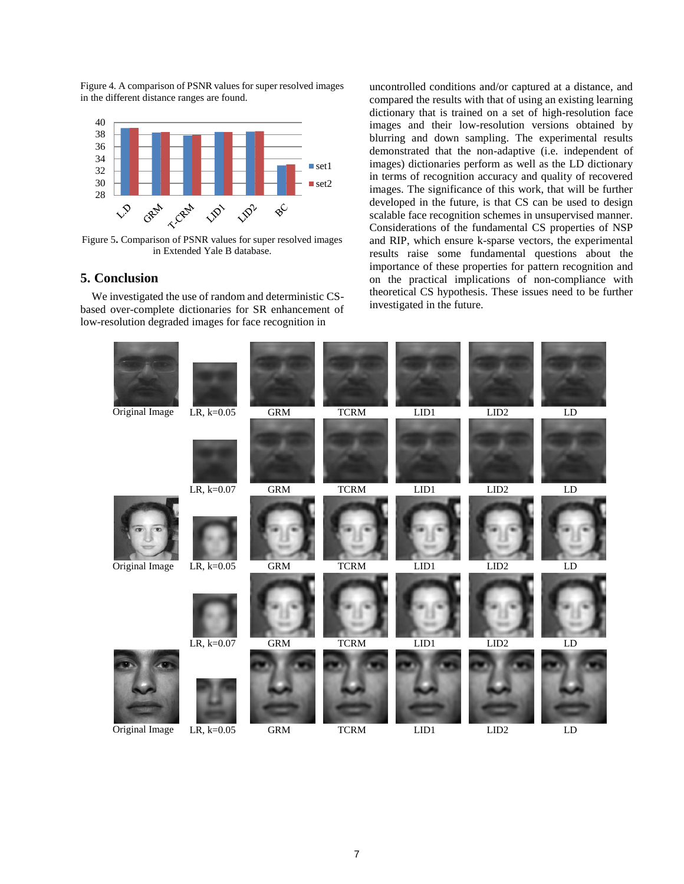Figure 4. A comparison of PSNR values for super resolved images in the different distance ranges are found.



Figure 5**.** Comparison of PSNR values for super resolved images in Extended Yale B database.

# **5. Conclusion**

We investigated the use of random and deterministic CSbased over-complete dictionaries for SR enhancement of low-resolution degraded images for face recognition in

uncontrolled conditions and/or captured at a distance, and compared the results with that of using an existing learning dictionary that is trained on a set of high-resolution face images and their low-resolution versions obtained by blurring and down sampling. The experimental results demonstrated that the non-adaptive (i.e. independent of images) dictionaries perform as well as the LD dictionary in terms of recognition accuracy and quality of recovered images. The significance of this work, that will be further developed in the future, is that CS can be used to design scalable face recognition schemes in unsupervised manner. Considerations of the fundamental CS properties of NSP and RIP, which ensure k-sparse vectors, the experimental results raise some fundamental questions about the importance of these properties for pattern recognition and on the practical implications of non-compliance with theoretical CS hypothesis. These issues need to be further investigated in the future.

| Original Image | $LR, k=0.05$ | $\mbox{GRM}$            | <b>TCRM</b> | LID1          | ${\rm LID2}$     | ${\rm LD}$ |
|----------------|--------------|-------------------------|-------------|---------------|------------------|------------|
|                |              |                         |             |               |                  |            |
|                | LR, $k=0.07$ | $\overline{\text{GRM}}$ | <b>TCRM</b> | LID1          | LID2             | ${\rm LD}$ |
| Original Image | $LR, k=0.05$ | $\overline{\rm GRM}$    | <b>TCRM</b> | ${\rm LID1}$  | ${\rm LID2}$     | ${\rm LD}$ |
|                |              |                         |             |               |                  |            |
|                | $LR, k=0.07$ | $\overline{\text{GRM}}$ | <b>TCRM</b> | ${\rm LID1}$  | LID2             | ${\rm LD}$ |
|                |              |                         |             |               |                  |            |
| Original Image | $LR, k=0.05$ | $\mbox{GRM}$            | <b>TCRM</b> | $\text{LID1}$ | LID <sub>2</sub> | ${\rm LD}$ |